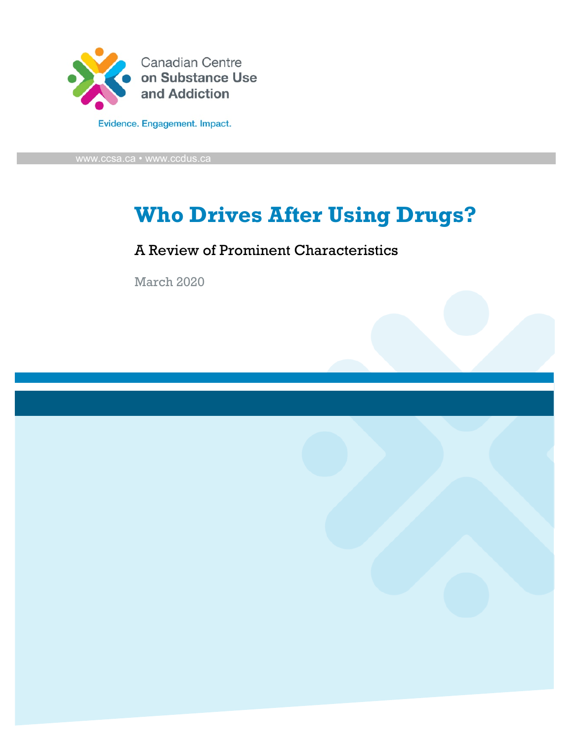

# **Who Drives After Using Drugs?**

### A Review of Prominent Characteristics

March 2020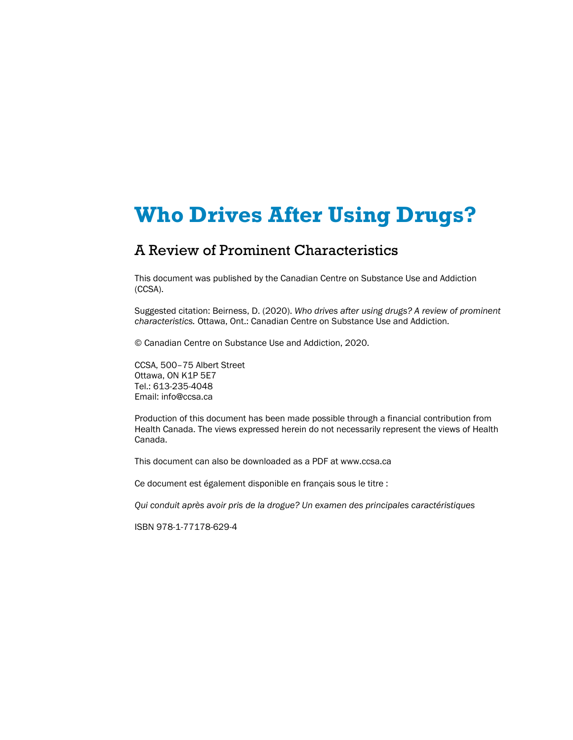# **Who Drives After Using Drugs?**

#### A Review of Prominent Characteristics

This document was published by the Canadian Centre on Substance Use and Addiction (CCSA).

Suggested citation: Beirness, D. (2020). *Who drives after using drugs? A review of prominent characteristics.* Ottawa, Ont.: Canadian Centre on Substance Use and Addiction.

© Canadian Centre on Substance Use and Addiction, 2020.

CCSA, 500–75 Albert Street Ottawa, ON K1P 5E7 Tel.: 613-235-4048 Email: info@ccsa.ca

Production of this document has been made possible through a financial contribution from Health Canada. The views expressed herein do not necessarily represent the views of Health Canada.

This document can also be downloaded as a PDF at www.ccsa.ca

Ce document est également disponible en français sous le titre :

*Qui conduit après avoir pris de la drogue? Un examen des principales caractéristiques*

ISBN 978-1-77178-629-4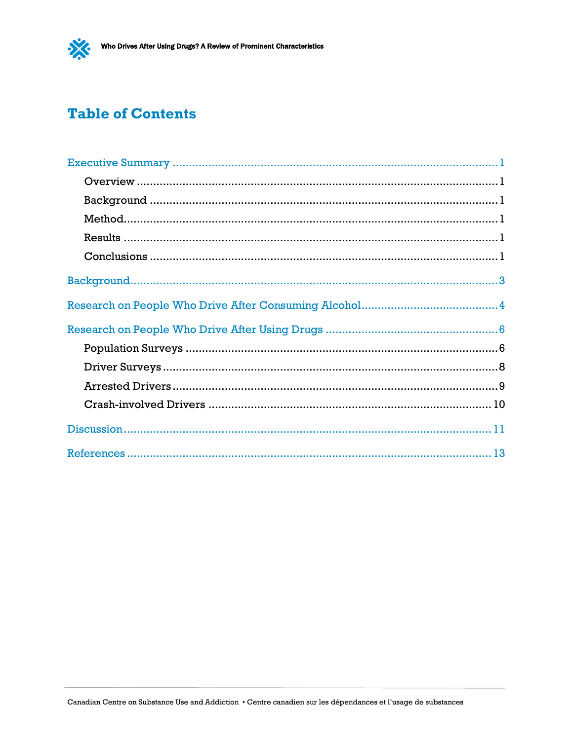### **Table of Contents**

 $\frac{1}{2}$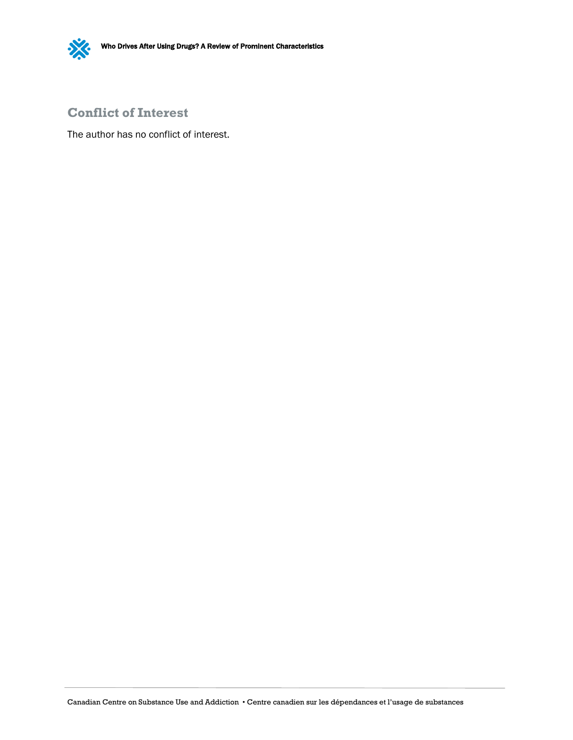

#### **Conflict of Interest**

The author has no conflict of interest.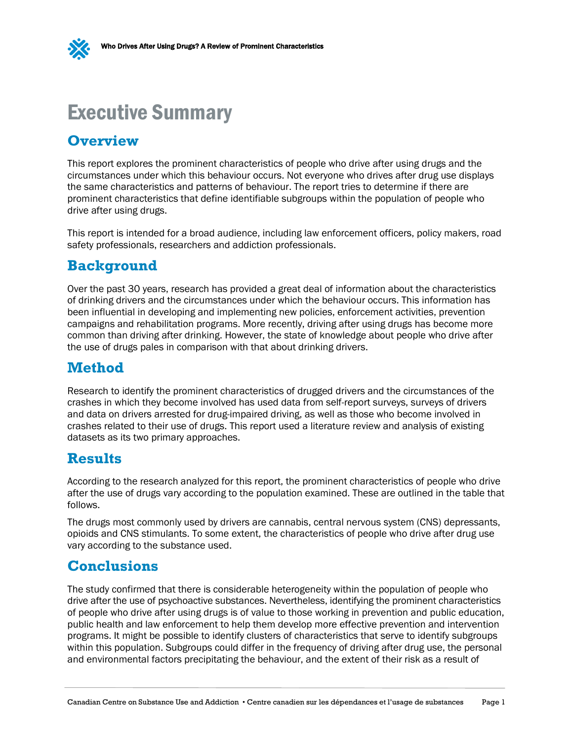

### <span id="page-4-0"></span>Executive Summary

### <span id="page-4-1"></span>**Overview**

This report explores the prominent characteristics of people who drive after using drugs and the circumstances under which this behaviour occurs. Not everyone who drives after drug use displays the same characteristics and patterns of behaviour. The report tries to determine if there are prominent characteristics that define identifiable subgroups within the population of people who drive after using drugs.

This report is intended for a broad audience, including law enforcement officers, policy makers, road safety professionals, researchers and addiction professionals.

### <span id="page-4-2"></span>**Background**

Over the past 30 years, research has provided a great deal of information about the characteristics of drinking drivers and the circumstances under which the behaviour occurs. This information has been influential in developing and implementing new policies, enforcement activities, prevention campaigns and rehabilitation programs. More recently, driving after using drugs has become more common than driving after drinking. However, the state of knowledge about people who drive after the use of drugs pales in comparison with that about drinking drivers.

### <span id="page-4-3"></span>**Method**

Research to identify the prominent characteristics of drugged drivers and the circumstances of the crashes in which they become involved has used data from self-report surveys, surveys of drivers and data on drivers arrested for drug-impaired driving, as well as those who become involved in crashes related to their use of drugs. This report used a literature review and analysis of existing datasets as its two primary approaches.

### <span id="page-4-4"></span>**Results**

According to the research analyzed for this report, the prominent characteristics of people who drive after the use of drugs vary according to the population examined. These are outlined in the table that follows.

The drugs most commonly used by drivers are cannabis, central nervous system (CNS) depressants, opioids and CNS stimulants. To some extent, the characteristics of people who drive after drug use vary according to the substance used.

### <span id="page-4-5"></span>**Conclusions**

The study confirmed that there is considerable heterogeneity within the population of people who drive after the use of psychoactive substances. Nevertheless, identifying the prominent characteristics of people who drive after using drugs is of value to those working in prevention and public education, public health and law enforcement to help them develop more effective prevention and intervention programs. It might be possible to identify clusters of characteristics that serve to identify subgroups within this population. Subgroups could differ in the frequency of driving after drug use, the personal and environmental factors precipitating the behaviour, and the extent of their risk as a result of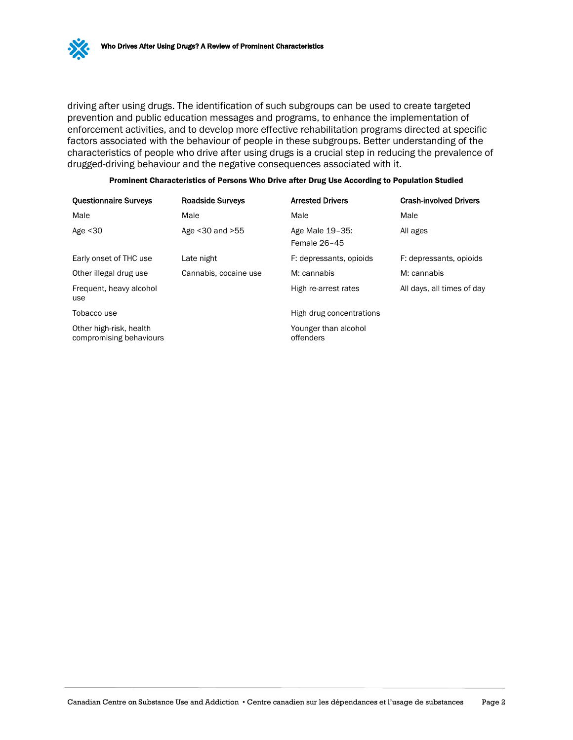driving after using drugs. The identification of such subgroups can be used to create targeted prevention and public education messages and programs, to enhance the implementation of enforcement activities, and to develop more effective rehabilitation programs directed at specific factors associated with the behaviour of people in these subgroups. Better understanding of the characteristics of people who drive after using drugs is a crucial step in reducing the prevalence of drugged-driving behaviour and the negative consequences associated with it.

| <b>Questionnaire Surveys</b>                       | <b>Roadside Surveys</b> | <b>Arrested Drivers</b>           | <b>Crash-involved Drivers</b> |
|----------------------------------------------------|-------------------------|-----------------------------------|-------------------------------|
| Male                                               | Male                    | Male                              | Male                          |
| Age $<$ 30                                         | Age $<$ 30 and $>$ 55   | Age Male 19-35:<br>Female 26-45   | All ages                      |
| Early onset of THC use                             | Late night              | F: depressants, opioids           | F: depressants, opioids       |
| Other illegal drug use                             | Cannabis, cocaine use   | M: cannabis                       | M: cannabis                   |
| Frequent, heavy alcohol<br>use                     |                         | High re-arrest rates              | All days, all times of day    |
| Tobacco use                                        |                         | High drug concentrations          |                               |
| Other high-risk, health<br>compromising behaviours |                         | Younger than alcohol<br>offenders |                               |

| Prominent Characteristics of Persons Who Drive after Drug Use According to Population Studied |  |  |
|-----------------------------------------------------------------------------------------------|--|--|
|                                                                                               |  |  |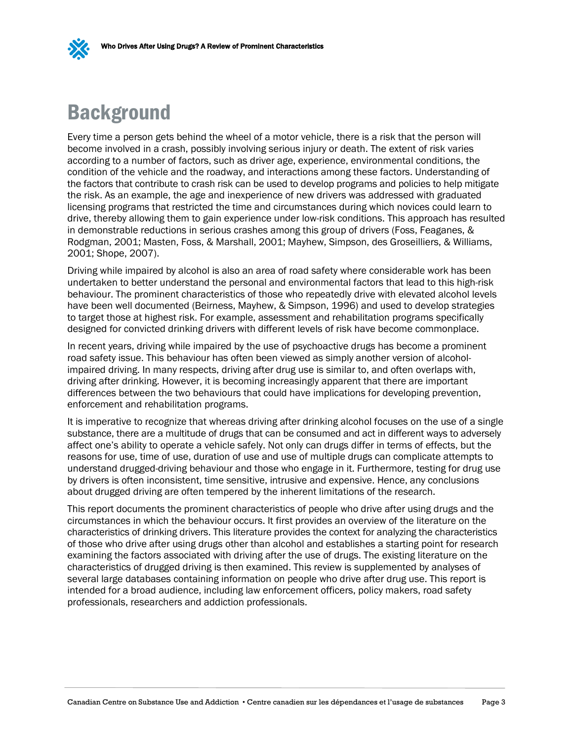

# <span id="page-6-0"></span>**Background**

Every time a person gets behind the wheel of a motor vehicle, there is a risk that the person will become involved in a crash, possibly involving serious injury or death. The extent of risk varies according to a number of factors, such as driver age, experience, environmental conditions, the condition of the vehicle and the roadway, and interactions among these factors. Understanding of the factors that contribute to crash risk can be used to develop programs and policies to help mitigate the risk. As an example, the age and inexperience of new drivers was addressed with graduated licensing programs that restricted the time and circumstances during which novices could learn to drive, thereby allowing them to gain experience under low-risk conditions. This approach has resulted in demonstrable reductions in serious crashes among this group of drivers (Foss, Feaganes, & Rodgman, 2001; Masten, Foss, & Marshall, 2001; Mayhew, Simpson, des Groseilliers, & Williams, 2001; Shope, 2007).

Driving while impaired by alcohol is also an area of road safety where considerable work has been undertaken to better understand the personal and environmental factors that lead to this high-risk behaviour. The prominent characteristics of those who repeatedly drive with elevated alcohol levels have been well documented (Beirness, Mayhew, & Simpson, 1996) and used to develop strategies to target those at highest risk. For example, assessment and rehabilitation programs specifically designed for convicted drinking drivers with different levels of risk have become commonplace.

In recent years, driving while impaired by the use of psychoactive drugs has become a prominent road safety issue. This behaviour has often been viewed as simply another version of alcoholimpaired driving. In many respects, driving after drug use is similar to, and often overlaps with, driving after drinking. However, it is becoming increasingly apparent that there are important differences between the two behaviours that could have implications for developing prevention, enforcement and rehabilitation programs.

It is imperative to recognize that whereas driving after drinking alcohol focuses on the use of a single substance, there are a multitude of drugs that can be consumed and act in different ways to adversely affect one's ability to operate a vehicle safely. Not only can drugs differ in terms of effects, but the reasons for use, time of use, duration of use and use of multiple drugs can complicate attempts to understand drugged-driving behaviour and those who engage in it. Furthermore, testing for drug use by drivers is often inconsistent, time sensitive, intrusive and expensive. Hence, any conclusions about drugged driving are often tempered by the inherent limitations of the research.

This report documents the prominent characteristics of people who drive after using drugs and the circumstances in which the behaviour occurs. It first provides an overview of the literature on the characteristics of drinking drivers. This literature provides the context for analyzing the characteristics of those who drive after using drugs other than alcohol and establishes a starting point for research examining the factors associated with driving after the use of drugs. The existing literature on the characteristics of drugged driving is then examined. This review is supplemented by analyses of several large databases containing information on people who drive after drug use. This report is intended for a broad audience, including law enforcement officers, policy makers, road safety professionals, researchers and addiction professionals.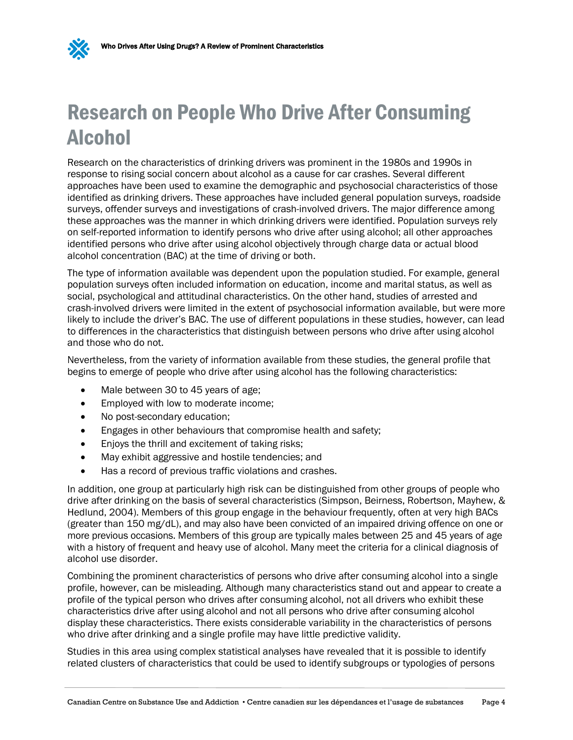

# <span id="page-7-0"></span>Research on People Who Drive After Consuming Alcohol

Research on the characteristics of drinking drivers was prominent in the 1980s and 1990s in response to rising social concern about alcohol as a cause for car crashes. Several different approaches have been used to examine the demographic and psychosocial characteristics of those identified as drinking drivers. These approaches have included general population surveys, roadside surveys, offender surveys and investigations of crash-involved drivers. The major difference among these approaches was the manner in which drinking drivers were identified. Population surveys rely on self-reported information to identify persons who drive after using alcohol; all other approaches identified persons who drive after using alcohol objectively through charge data or actual blood alcohol concentration (BAC) at the time of driving or both.

The type of information available was dependent upon the population studied. For example, general population surveys often included information on education, income and marital status, as well as social, psychological and attitudinal characteristics. On the other hand, studies of arrested and crash-involved drivers were limited in the extent of psychosocial information available, but were more likely to include the driver's BAC. The use of different populations in these studies, however, can lead to differences in the characteristics that distinguish between persons who drive after using alcohol and those who do not.

Nevertheless, from the variety of information available from these studies, the general profile that begins to emerge of people who drive after using alcohol has the following characteristics:

- Male between 30 to 45 years of age;
- Employed with low to moderate income;
- No post-secondary education;
- Engages in other behaviours that compromise health and safety;
- Enjoys the thrill and excitement of taking risks;
- May exhibit aggressive and hostile tendencies; and
- Has a record of previous traffic violations and crashes.

In addition, one group at particularly high risk can be distinguished from other groups of people who drive after drinking on the basis of several characteristics (Simpson, Beirness, Robertson, Mayhew, & Hedlund, 2004). Members of this group engage in the behaviour frequently, often at very high BACs (greater than 150 mg/dL), and may also have been convicted of an impaired driving offence on one or more previous occasions. Members of this group are typically males between 25 and 45 years of age with a history of frequent and heavy use of alcohol. Many meet the criteria for a clinical diagnosis of alcohol use disorder.

Combining the prominent characteristics of persons who drive after consuming alcohol into a single profile, however, can be misleading. Although many characteristics stand out and appear to create a profile of the typical person who drives after consuming alcohol, not all drivers who exhibit these characteristics drive after using alcohol and not all persons who drive after consuming alcohol display these characteristics. There exists considerable variability in the characteristics of persons who drive after drinking and a single profile may have little predictive validity.

Studies in this area using complex statistical analyses have revealed that it is possible to identify related clusters of characteristics that could be used to identify subgroups or typologies of persons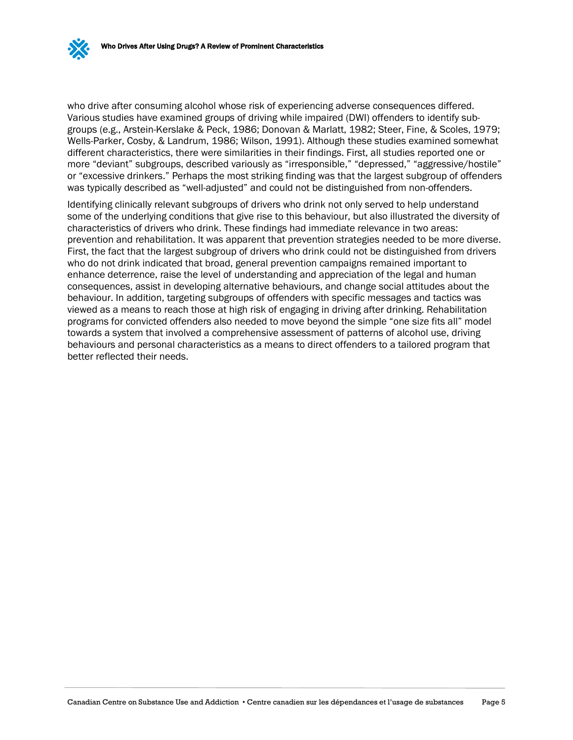who drive after consuming alcohol whose risk of experiencing adverse consequences differed. Various studies have examined groups of driving while impaired (DWI) offenders to identify subgroups (e.g., Arstein-Kerslake & Peck, 1986; Donovan & Marlatt, 1982; Steer, Fine, & Scoles, 1979; Wells-Parker, Cosby, & Landrum, 1986; Wilson, 1991). Although these studies examined somewhat different characteristics, there were similarities in their findings. First, all studies reported one or more "deviant" subgroups, described variously as "irresponsible," "depressed," "aggressive/hostile" or "excessive drinkers." Perhaps the most striking finding was that the largest subgroup of offenders was typically described as "well-adjusted" and could not be distinguished from non-offenders.

Identifying clinically relevant subgroups of drivers who drink not only served to help understand some of the underlying conditions that give rise to this behaviour, but also illustrated the diversity of characteristics of drivers who drink. These findings had immediate relevance in two areas: prevention and rehabilitation. It was apparent that prevention strategies needed to be more diverse. First, the fact that the largest subgroup of drivers who drink could not be distinguished from drivers who do not drink indicated that broad, general prevention campaigns remained important to enhance deterrence, raise the level of understanding and appreciation of the legal and human consequences, assist in developing alternative behaviours, and change social attitudes about the behaviour. In addition, targeting subgroups of offenders with specific messages and tactics was viewed as a means to reach those at high risk of engaging in driving after drinking. Rehabilitation programs for convicted offenders also needed to move beyond the simple "one size fits all" model towards a system that involved a comprehensive assessment of patterns of alcohol use, driving behaviours and personal characteristics as a means to direct offenders to a tailored program that better reflected their needs.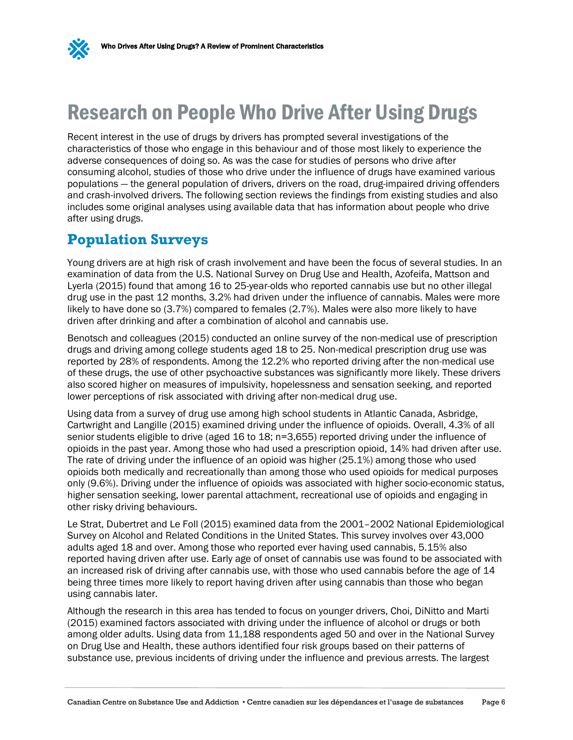

# <span id="page-9-0"></span>Research on People Who Drive After Using Drugs

Recent interest in the use of drugs by drivers has prompted several investigations of the characteristics of those who engage in this behaviour and of those most likely to experience the adverse consequences of doing so. As was the case for studies of persons who drive after consuming alcohol, studies of those who drive under the influence of drugs have examined various populations — the general population of drivers, drivers on the road, drug-impaired driving offenders and crash-involved drivers. The following section reviews the findings from existing studies and also includes some original analyses using available data that has information about people who drive after using drugs.

### <span id="page-9-1"></span>**Population Surveys**

Young drivers are at high risk of crash involvement and have been the focus of several studies. In an examination of data from the U.S. National Survey on Drug Use and Health, Azofeifa, Mattson and Lyerla (2015) found that among 16 to 25-year-olds who reported cannabis use but no other illegal drug use in the past 12 months, 3.2% had driven under the influence of cannabis. Males were more likely to have done so (3.7%) compared to females (2.7%). Males were also more likely to have driven after drinking and after a combination of alcohol and cannabis use.

Benotsch and colleagues (2015) conducted an online survey of the non-medical use of prescription drugs and driving among college students aged 18 to 25. Non-medical prescription drug use was reported by 28% of respondents. Among the 12.2% who reported driving after the non-medical use of these drugs, the use of other psychoactive substances was significantly more likely. These drivers also scored higher on measures of impulsivity, hopelessness and sensation seeking, and reported lower perceptions of risk associated with driving after non-medical drug use.

Using data from a survey of drug use among high school students in Atlantic Canada, Asbridge, Cartwright and Langille (2015) examined driving under the influence of opioids. Overall, 4.3% of all senior students eligible to drive (aged 16 to 18; n=3,655) reported driving under the influence of opioids in the past year. Among those who had used a prescription opioid, 14% had driven after use. The rate of driving under the influence of an opioid was higher (25.1%) among those who used opioids both medically and recreationally than among those who used opioids for medical purposes only (9.6%). Driving under the influence of opioids was associated with higher socio-economic status, higher sensation seeking, lower parental attachment, recreational use of opioids and engaging in other risky driving behaviours.

Le Strat, Dubertret and Le Foll (2015) examined data from the 2001–2002 National Epidemiological Survey on Alcohol and Related Conditions in the United States. This survey involves over 43,000 adults aged 18 and over. Among those who reported ever having used cannabis, 5.15% also reported having driven after use. Early age of onset of cannabis use was found to be associated with an increased risk of driving after cannabis use, with those who used cannabis before the age of 14 being three times more likely to report having driven after using cannabis than those who began using cannabis later.

Although the research in this area has tended to focus on younger drivers, Choi, DiNitto and Marti (2015) examined factors associated with driving under the influence of alcohol or drugs or both among older adults. Using data from 11,188 respondents aged 50 and over in the National Survey on Drug Use and Health, these authors identified four risk groups based on their patterns of substance use, previous incidents of driving under the influence and previous arrests. The largest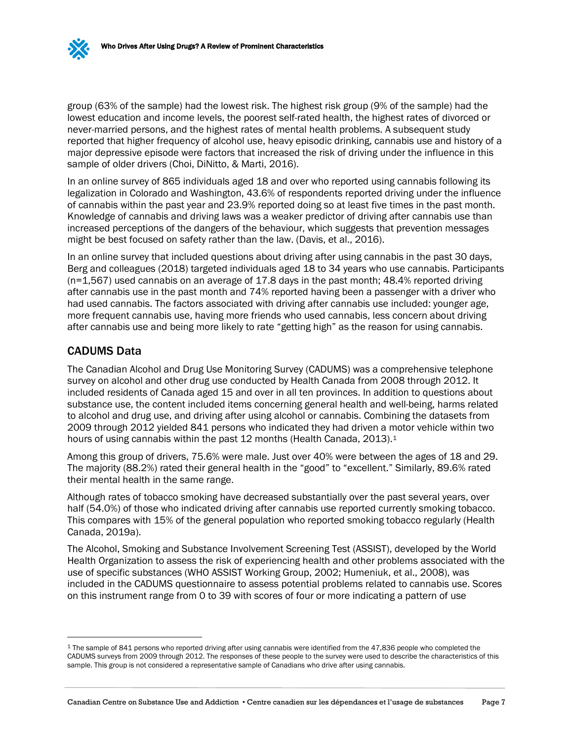group (63% of the sample) had the lowest risk. The highest risk group (9% of the sample) had the lowest education and income levels, the poorest self-rated health, the highest rates of divorced or never-married persons, and the highest rates of mental health problems. A subsequent study reported that higher frequency of alcohol use, heavy episodic drinking, cannabis use and history of a major depressive episode were factors that increased the risk of driving under the influence in this sample of older drivers (Choi, DiNitto, & Marti, 2016).

In an online survey of 865 individuals aged 18 and over who reported using cannabis following its legalization in Colorado and Washington, 43.6% of respondents reported driving under the influence of cannabis within the past year and 23.9% reported doing so at least five times in the past month. Knowledge of cannabis and driving laws was a weaker predictor of driving after cannabis use than increased perceptions of the dangers of the behaviour, which suggests that prevention messages might be best focused on safety rather than the law. (Davis, et al., 2016).

In an online survey that included questions about driving after using cannabis in the past 30 days, Berg and colleagues (2018) targeted individuals aged 18 to 34 years who use cannabis. Participants (n=1,567) used cannabis on an average of 17.8 days in the past month; 48.4% reported driving after cannabis use in the past month and 74% reported having been a passenger with a driver who had used cannabis. The factors associated with driving after cannabis use included: younger age, more frequent cannabis use, having more friends who used cannabis, less concern about driving after cannabis use and being more likely to rate "getting high" as the reason for using cannabis.

#### CADUMS Data

The Canadian Alcohol and Drug Use Monitoring Survey (CADUMS) was a comprehensive telephone survey on alcohol and other drug use conducted by Health Canada from 2008 through 2012. It included residents of Canada aged 15 and over in all ten provinces. In addition to questions about substance use, the content included items concerning general health and well-being, harms related to alcohol and drug use, and driving after using alcohol or cannabis. Combining the datasets from 2009 through 2012 yielded 841 persons who indicated they had driven a motor vehicle within two hours of using cannabis within the past [1](#page-10-0)2 months (Health Canada, 2013).<sup>1</sup>

Among this group of drivers, 75.6% were male. Just over 40% were between the ages of 18 and 29. The majority (88.2%) rated their general health in the "good" to "excellent." Similarly, 89.6% rated their mental health in the same range.

Although rates of tobacco smoking have decreased substantially over the past several years, over half (54.0%) of those who indicated driving after cannabis use reported currently smoking tobacco. This compares with 15% of the general population who reported smoking tobacco regularly (Health Canada, 2019a).

The Alcohol, Smoking and Substance Involvement Screening Test (ASSIST), developed by the World Health Organization to assess the risk of experiencing health and other problems associated with the use of specific substances (WHO ASSIST Working Group, 2002; Humeniuk, et al., 2008), was included in the CADUMS questionnaire to assess potential problems related to cannabis use. Scores on this instrument range from 0 to 39 with scores of four or more indicating a pattern of use

<span id="page-10-0"></span> <sup>1</sup> The sample of 841 persons who reported driving after using cannabis were identified from the 47,836 people who completed the CADUMS surveys from 2009 through 2012. The responses of these people to the survey were used to describe the characteristics of this sample. This group is not considered a representative sample of Canadians who drive after using cannabis.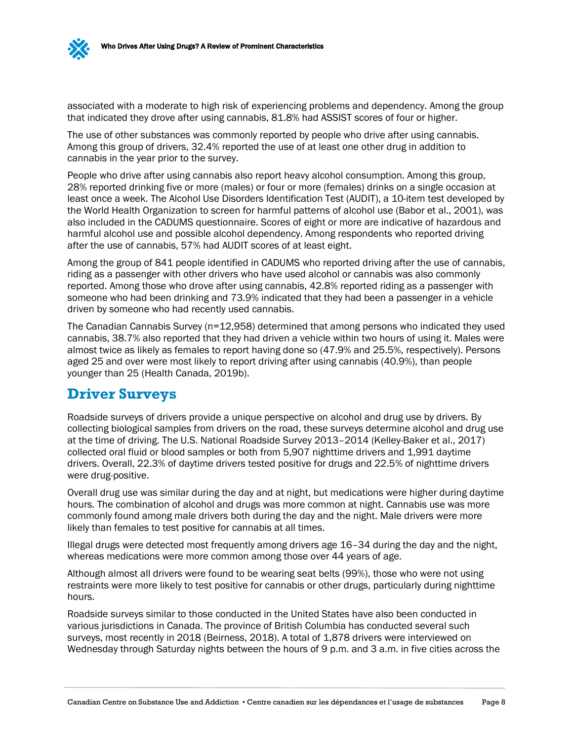associated with a moderate to high risk of experiencing problems and dependency. Among the group that indicated they drove after using cannabis, 81.8% had ASSIST scores of four or higher.

The use of other substances was commonly reported by people who drive after using cannabis. Among this group of drivers, 32.4% reported the use of at least one other drug in addition to cannabis in the year prior to the survey.

People who drive after using cannabis also report heavy alcohol consumption. Among this group, 28% reported drinking five or more (males) or four or more (females) drinks on a single occasion at least once a week. The Alcohol Use Disorders Identification Test (AUDIT), a 10-item test developed by the World Health Organization to screen for harmful patterns of alcohol use (Babor et al., 2001), was also included in the CADUMS questionnaire. Scores of eight or more are indicative of hazardous and harmful alcohol use and possible alcohol dependency. Among respondents who reported driving after the use of cannabis, 57% had AUDIT scores of at least eight.

Among the group of 841 people identified in CADUMS who reported driving after the use of cannabis, riding as a passenger with other drivers who have used alcohol or cannabis was also commonly reported. Among those who drove after using cannabis, 42.8% reported riding as a passenger with someone who had been drinking and 73.9% indicated that they had been a passenger in a vehicle driven by someone who had recently used cannabis.

The Canadian Cannabis Survey (n=12,958) determined that among persons who indicated they used cannabis, 38.7% also reported that they had driven a vehicle within two hours of using it. Males were almost twice as likely as females to report having done so (47.9% and 25.5%, respectively). Persons aged 25 and over were most likely to report driving after using cannabis (40.9%), than people younger than 25 (Health Canada, 2019b).

### <span id="page-11-0"></span>**Driver Surveys**

Roadside surveys of drivers provide a unique perspective on alcohol and drug use by drivers. By collecting biological samples from drivers on the road, these surveys determine alcohol and drug use at the time of driving. The U.S. National Roadside Survey 2013–2014 (Kelley-Baker et al., 2017) collected oral fluid or blood samples or both from 5,907 nighttime drivers and 1,991 daytime drivers. Overall, 22.3% of daytime drivers tested positive for drugs and 22.5% of nighttime drivers were drug-positive.

Overall drug use was similar during the day and at night, but medications were higher during daytime hours. The combination of alcohol and drugs was more common at night. Cannabis use was more commonly found among male drivers both during the day and the night. Male drivers were more likely than females to test positive for cannabis at all times.

Illegal drugs were detected most frequently among drivers age 16–34 during the day and the night, whereas medications were more common among those over 44 years of age.

Although almost all drivers were found to be wearing seat belts (99%), those who were not using restraints were more likely to test positive for cannabis or other drugs, particularly during nighttime hours.

Roadside surveys similar to those conducted in the United States have also been conducted in various jurisdictions in Canada. The province of British Columbia has conducted several such surveys, most recently in 2018 (Beirness, 2018). A total of 1,878 drivers were interviewed on Wednesday through Saturday nights between the hours of 9 p.m. and 3 a.m. in five cities across the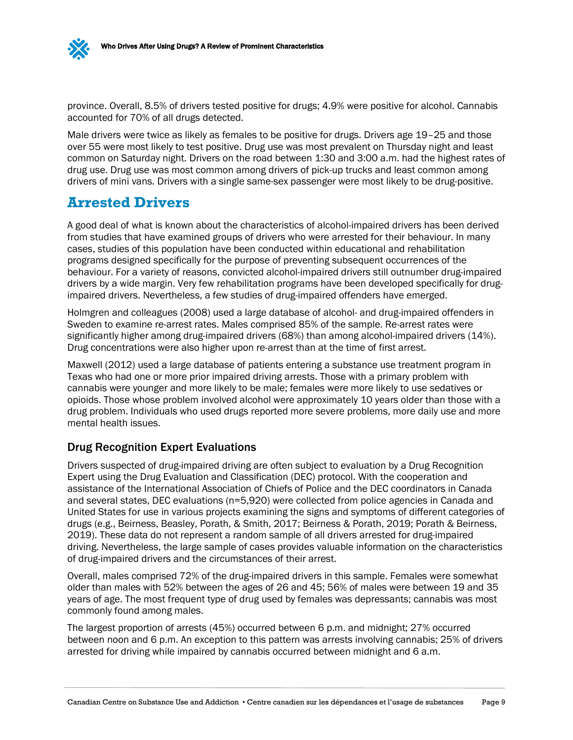province. Overall, 8.5% of drivers tested positive for drugs; 4.9% were positive for alcohol. Cannabis accounted for 70% of all drugs detected.

Male drivers were twice as likely as females to be positive for drugs. Drivers age 19–25 and those over 55 were most likely to test positive. Drug use was most prevalent on Thursday night and least common on Saturday night. Drivers on the road between 1:30 and 3:00 a.m. had the highest rates of drug use. Drug use was most common among drivers of pick-up trucks and least common among drivers of mini vans. Drivers with a single same-sex passenger were most likely to be drug-positive.

### <span id="page-12-0"></span>**Arrested Drivers**

A good deal of what is known about the characteristics of alcohol-impaired drivers has been derived from studies that have examined groups of drivers who were arrested for their behaviour. In many cases, studies of this population have been conducted within educational and rehabilitation programs designed specifically for the purpose of preventing subsequent occurrences of the behaviour. For a variety of reasons, convicted alcohol-impaired drivers still outnumber drug-impaired drivers by a wide margin. Very few rehabilitation programs have been developed specifically for drugimpaired drivers. Nevertheless, a few studies of drug-impaired offenders have emerged.

Holmgren and colleagues (2008) used a large database of alcohol- and drug-impaired offenders in Sweden to examine re-arrest rates. Males comprised 85% of the sample. Re-arrest rates were significantly higher among drug-impaired drivers (68%) than among alcohol-impaired drivers (14%). Drug concentrations were also higher upon re-arrest than at the time of first arrest.

Maxwell (2012) used a large database of patients entering a substance use treatment program in Texas who had one or more prior impaired driving arrests. Those with a primary problem with cannabis were younger and more likely to be male; females were more likely to use sedatives or opioids. Those whose problem involved alcohol were approximately 10 years older than those with a drug problem. Individuals who used drugs reported more severe problems, more daily use and more mental health issues.

#### Drug Recognition Expert Evaluations

Drivers suspected of drug-impaired driving are often subject to evaluation by a Drug Recognition Expert using the Drug Evaluation and Classification (DEC) protocol. With the cooperation and assistance of the International Association of Chiefs of Police and the DEC coordinators in Canada and several states, DEC evaluations (n=5,920) were collected from police agencies in Canada and United States for use in various projects examining the signs and symptoms of different categories of drugs (e.g., Beirness, Beasley, Porath, & Smith, 2017; Beirness & Porath, 2019; Porath & Beirness, 2019). These data do not represent a random sample of all drivers arrested for drug-impaired driving. Nevertheless, the large sample of cases provides valuable information on the characteristics of drug-impaired drivers and the circumstances of their arrest.

Overall, males comprised 72% of the drug-impaired drivers in this sample. Females were somewhat older than males with 52% between the ages of 26 and 45; 56% of males were between 19 and 35 years of age. The most frequent type of drug used by females was depressants; cannabis was most commonly found among males.

The largest proportion of arrests (45%) occurred between 6 p.m. and midnight; 27% occurred between noon and 6 p.m. An exception to this pattern was arrests involving cannabis; 25% of drivers arrested for driving while impaired by cannabis occurred between midnight and 6 a.m.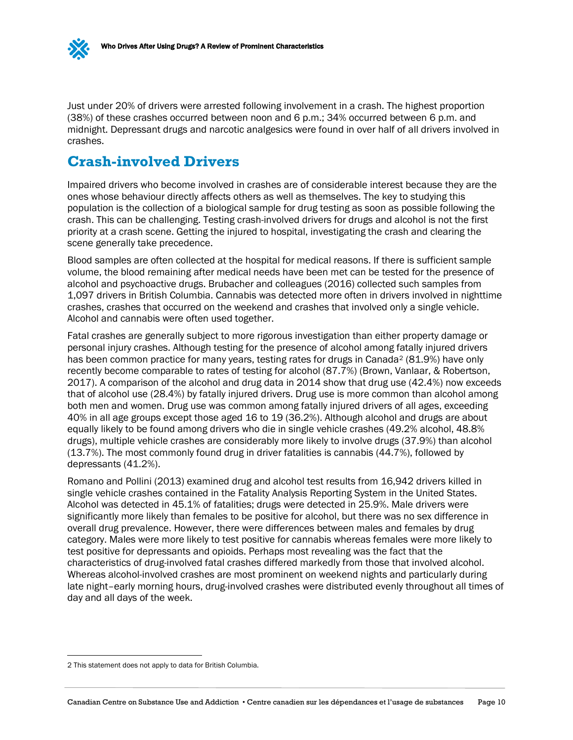

Just under 20% of drivers were arrested following involvement in a crash. The highest proportion (38%) of these crashes occurred between noon and 6 p.m.; 34% occurred between 6 p.m. and midnight. Depressant drugs and narcotic analgesics were found in over half of all drivers involved in crashes.

### <span id="page-13-0"></span>**Crash-involved Drivers**

Impaired drivers who become involved in crashes are of considerable interest because they are the ones whose behaviour directly affects others as well as themselves. The key to studying this population is the collection of a biological sample for drug testing as soon as possible following the crash. This can be challenging. Testing crash-involved drivers for drugs and alcohol is not the first priority at a crash scene. Getting the injured to hospital, investigating the crash and clearing the scene generally take precedence.

Blood samples are often collected at the hospital for medical reasons. If there is sufficient sample volume, the blood remaining after medical needs have been met can be tested for the presence of alcohol and psychoactive drugs. Brubacher and colleagues (2016) collected such samples from 1,097 drivers in British Columbia. Cannabis was detected more often in drivers involved in nighttime crashes, crashes that occurred on the weekend and crashes that involved only a single vehicle. Alcohol and cannabis were often used together.

Fatal crashes are generally subject to more rigorous investigation than either property damage or personal injury crashes. Although testing for the presence of alcohol among fatally injured drivers has been common practice for many years, testing rates for drugs in Canada<sup>[2](#page-13-1)</sup> (81.9%) have only recently become comparable to rates of testing for alcohol (87.7%) (Brown, Vanlaar, & Robertson, 2017). A comparison of the alcohol and drug data in 2014 show that drug use (42.4%) now exceeds that of alcohol use (28.4%) by fatally injured drivers. Drug use is more common than alcohol among both men and women. Drug use was common among fatally injured drivers of all ages, exceeding 40% in all age groups except those aged 16 to 19 (36.2%). Although alcohol and drugs are about equally likely to be found among drivers who die in single vehicle crashes (49.2% alcohol, 48.8% drugs), multiple vehicle crashes are considerably more likely to involve drugs (37.9%) than alcohol (13.7%). The most commonly found drug in driver fatalities is cannabis (44.7%), followed by depressants (41.2%).

Romano and Pollini (2013) examined drug and alcohol test results from 16,942 drivers killed in single vehicle crashes contained in the Fatality Analysis Reporting System in the United States. Alcohol was detected in 45.1% of fatalities; drugs were detected in 25.9%. Male drivers were significantly more likely than females to be positive for alcohol, but there was no sex difference in overall drug prevalence. However, there were differences between males and females by drug category. Males were more likely to test positive for cannabis whereas females were more likely to test positive for depressants and opioids. Perhaps most revealing was the fact that the characteristics of drug-involved fatal crashes differed markedly from those that involved alcohol. Whereas alcohol-involved crashes are most prominent on weekend nights and particularly during late night–early morning hours, drug-involved crashes were distributed evenly throughout all times of day and all days of the week.

<span id="page-13-1"></span> <sup>2</sup> This statement does not apply to data for British Columbia.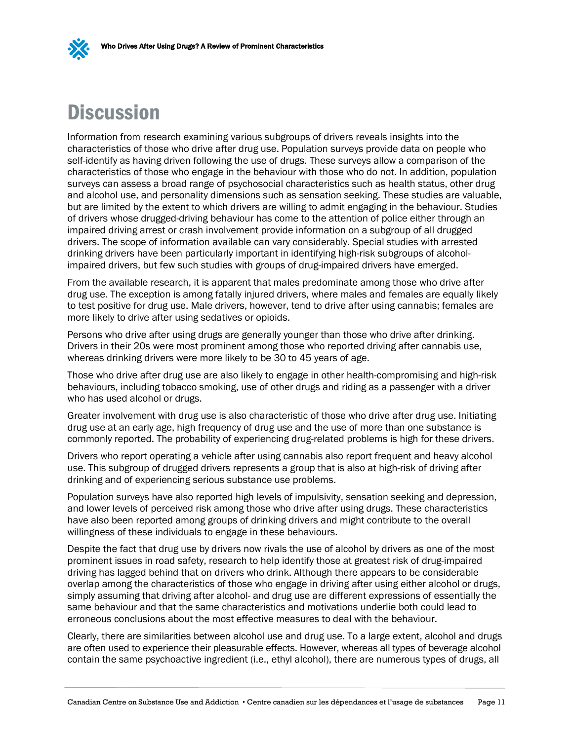

## <span id="page-14-0"></span>**Discussion**

Information from research examining various subgroups of drivers reveals insights into the characteristics of those who drive after drug use. Population surveys provide data on people who self-identify as having driven following the use of drugs. These surveys allow a comparison of the characteristics of those who engage in the behaviour with those who do not. In addition, population surveys can assess a broad range of psychosocial characteristics such as health status, other drug and alcohol use, and personality dimensions such as sensation seeking. These studies are valuable, but are limited by the extent to which drivers are willing to admit engaging in the behaviour. Studies of drivers whose drugged-driving behaviour has come to the attention of police either through an impaired driving arrest or crash involvement provide information on a subgroup of all drugged drivers. The scope of information available can vary considerably. Special studies with arrested drinking drivers have been particularly important in identifying high-risk subgroups of alcoholimpaired drivers, but few such studies with groups of drug-impaired drivers have emerged.

From the available research, it is apparent that males predominate among those who drive after drug use. The exception is among fatally injured drivers, where males and females are equally likely to test positive for drug use. Male drivers, however, tend to drive after using cannabis; females are more likely to drive after using sedatives or opioids.

Persons who drive after using drugs are generally younger than those who drive after drinking. Drivers in their 20s were most prominent among those who reported driving after cannabis use, whereas drinking drivers were more likely to be 30 to 45 years of age.

Those who drive after drug use are also likely to engage in other health-compromising and high-risk behaviours, including tobacco smoking, use of other drugs and riding as a passenger with a driver who has used alcohol or drugs.

Greater involvement with drug use is also characteristic of those who drive after drug use. Initiating drug use at an early age, high frequency of drug use and the use of more than one substance is commonly reported. The probability of experiencing drug-related problems is high for these drivers.

Drivers who report operating a vehicle after using cannabis also report frequent and heavy alcohol use. This subgroup of drugged drivers represents a group that is also at high-risk of driving after drinking and of experiencing serious substance use problems.

Population surveys have also reported high levels of impulsivity, sensation seeking and depression, and lower levels of perceived risk among those who drive after using drugs. These characteristics have also been reported among groups of drinking drivers and might contribute to the overall willingness of these individuals to engage in these behaviours.

Despite the fact that drug use by drivers now rivals the use of alcohol by drivers as one of the most prominent issues in road safety, research to help identify those at greatest risk of drug-impaired driving has lagged behind that on drivers who drink. Although there appears to be considerable overlap among the characteristics of those who engage in driving after using either alcohol or drugs, simply assuming that driving after alcohol- and drug use are different expressions of essentially the same behaviour and that the same characteristics and motivations underlie both could lead to erroneous conclusions about the most effective measures to deal with the behaviour.

Clearly, there are similarities between alcohol use and drug use. To a large extent, alcohol and drugs are often used to experience their pleasurable effects. However, whereas all types of beverage alcohol contain the same psychoactive ingredient (i.e., ethyl alcohol), there are numerous types of drugs, all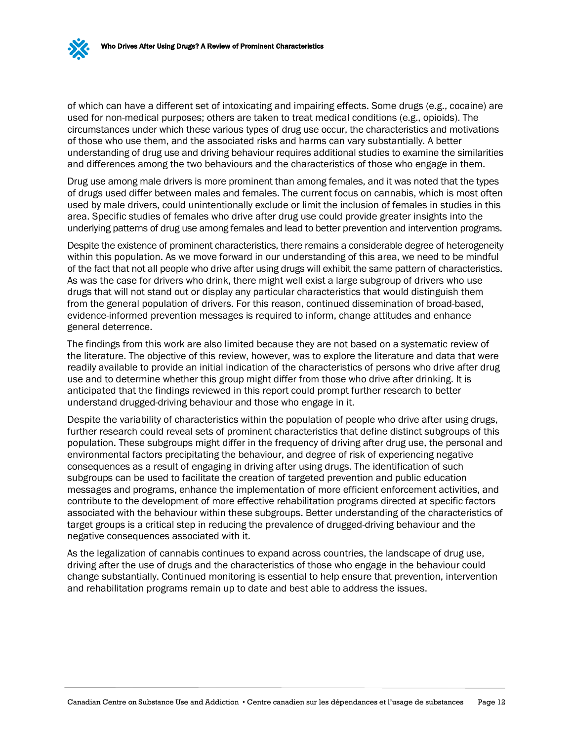of which can have a different set of intoxicating and impairing effects. Some drugs (e.g., cocaine) are used for non-medical purposes; others are taken to treat medical conditions (e.g., opioids). The circumstances under which these various types of drug use occur, the characteristics and motivations of those who use them, and the associated risks and harms can vary substantially. A better understanding of drug use and driving behaviour requires additional studies to examine the similarities and differences among the two behaviours and the characteristics of those who engage in them.

Drug use among male drivers is more prominent than among females, and it was noted that the types of drugs used differ between males and females. The current focus on cannabis, which is most often used by male drivers, could unintentionally exclude or limit the inclusion of females in studies in this area. Specific studies of females who drive after drug use could provide greater insights into the underlying patterns of drug use among females and lead to better prevention and intervention programs.

Despite the existence of prominent characteristics, there remains a considerable degree of heterogeneity within this population. As we move forward in our understanding of this area, we need to be mindful of the fact that not all people who drive after using drugs will exhibit the same pattern of characteristics. As was the case for drivers who drink, there might well exist a large subgroup of drivers who use drugs that will not stand out or display any particular characteristics that would distinguish them from the general population of drivers. For this reason, continued dissemination of broad-based, evidence-informed prevention messages is required to inform, change attitudes and enhance general deterrence.

The findings from this work are also limited because they are not based on a systematic review of the literature. The objective of this review, however, was to explore the literature and data that were readily available to provide an initial indication of the characteristics of persons who drive after drug use and to determine whether this group might differ from those who drive after drinking. It is anticipated that the findings reviewed in this report could prompt further research to better understand drugged-driving behaviour and those who engage in it.

Despite the variability of characteristics within the population of people who drive after using drugs, further research could reveal sets of prominent characteristics that define distinct subgroups of this population. These subgroups might differ in the frequency of driving after drug use, the personal and environmental factors precipitating the behaviour, and degree of risk of experiencing negative consequences as a result of engaging in driving after using drugs. The identification of such subgroups can be used to facilitate the creation of targeted prevention and public education messages and programs, enhance the implementation of more efficient enforcement activities, and contribute to the development of more effective rehabilitation programs directed at specific factors associated with the behaviour within these subgroups. Better understanding of the characteristics of target groups is a critical step in reducing the prevalence of drugged-driving behaviour and the negative consequences associated with it.

As the legalization of cannabis continues to expand across countries, the landscape of drug use, driving after the use of drugs and the characteristics of those who engage in the behaviour could change substantially. Continued monitoring is essential to help ensure that prevention, intervention and rehabilitation programs remain up to date and best able to address the issues.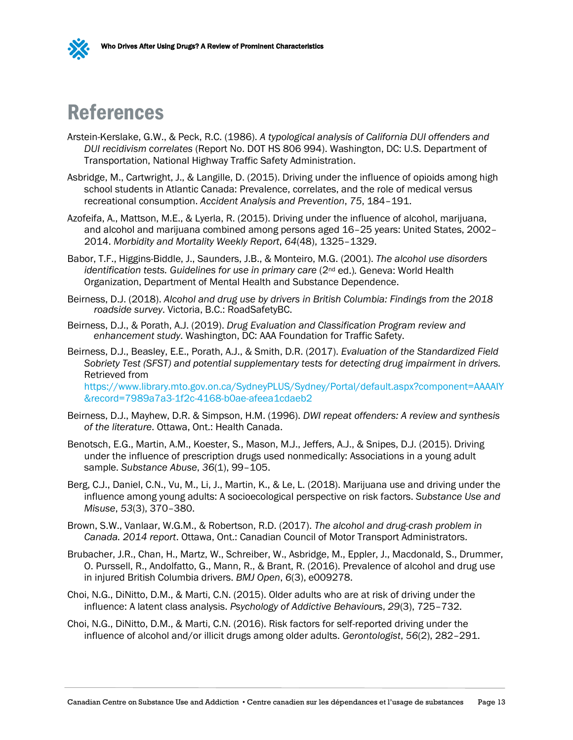

### <span id="page-16-0"></span>References

- Arstein-Kerslake, G.W., & Peck, R.C. (1986). *A typological analysis of California DUI offenders and DUI recidivism correlates* (Report No. DOT HS 806 994). Washington, DC: U.S. Department of Transportation, National Highway Traffic Safety Administration.
- Asbridge, M., Cartwright, J., & Langille, D. (2015). Driving under the influence of opioids among high school students in Atlantic Canada: Prevalence, correlates, and the role of medical versus recreational consumption. *Accident Analysis and Prevention*, *75*, 184–191.
- Azofeifa, A., Mattson, M.E., & Lyerla, R. (2015). Driving under the influence of alcohol, marijuana, and alcohol and marijuana combined among persons aged 16–25 years: United States, 2002– 2014. *Morbidity and Mortality Weekly Report*, *64*(48), 1325–1329.
- Babor, T.F., Higgins-Biddle, J., Saunders, J.B., & Monteiro, M.G. (2001). *The alcohol use disorders identification tests. Guidelines for use in primary care* (2nd ed.)*.* Geneva: World Health Organization, Department of Mental Health and Substance Dependence.
- Beirness, D.J. (2018). *Alcohol and drug use by drivers in British Columbia: Findings from the 2018 roadside survey*. Victoria, B.C.: RoadSafetyBC.
- Beirness, D.J., & Porath, A.J. (2019). *Drug Evaluation and Classification Program review and enhancement study*. Washington, DC: AAA Foundation for Traffic Safety.
- Beirness, D.J., Beasley, E.E., Porath, A.J., & Smith, D.R. (2017). *Evaluation of the Standardized Field Sobriety Test (SFST) and potential supplementary tests for detecting drug impairment in drivers.* Retrieved from [https://www.library.mto.gov.on.ca/SydneyPLUS/Sydney/Portal/default.aspx?component=AAAAIY](https://www.library.mto.gov.on.ca/SydneyPLUS/Sydney/Portal/default.aspx?component=AAAAIY&record=7989a7a3-1f2c-4168-b0ae-afeea1cdaeb2) [&record=7989a7a3-1f2c-4168-b0ae-afeea1cdaeb2](https://www.library.mto.gov.on.ca/SydneyPLUS/Sydney/Portal/default.aspx?component=AAAAIY&record=7989a7a3-1f2c-4168-b0ae-afeea1cdaeb2)
- Beirness, D.J., Mayhew, D.R. & Simpson, H.M. (1996). *DWI repeat offenders: A review and synthesis of the literature*. Ottawa, Ont.: Health Canada.
- Benotsch, E.G., Martin, A.M., Koester, S., Mason, M.J., Jeffers, A.J., & Snipes, D.J. (2015). Driving under the influence of prescription drugs used nonmedically: Associations in a young adult sample. *Substance Abuse*, *36*(1), 99–105.
- Berg, C.J., Daniel, C.N., Vu, M., Li, J., Martin, K., & Le, L. (2018). Marijuana use and driving under the influence among young adults: A socioecological perspective on risk factors. *Substance Use and Misuse*, *53*(3), 370–380.
- Brown, S.W., Vanlaar, W.G.M., & Robertson, R.D. (2017). *The alcohol and drug-crash problem in Canada. 2014 report*. Ottawa, Ont.: Canadian Council of Motor Transport Administrators.
- Brubacher, J.R., Chan, H., Martz, W., Schreiber, W., Asbridge, M., Eppler, J., Macdonald, S., Drummer, O. Purssell, R., Andolfatto, G., Mann, R., & Brant, R. (2016). Prevalence of alcohol and drug use in injured British Columbia drivers. *BMJ Open*, *6*(3), e009278.
- Choi, N.G., DiNitto, D.M., & Marti, C.N. (2015). Older adults who are at risk of driving under the influence: A latent class analysis. *Psychology of Addictive Behaviour*s, *29*(3), 725–732.
- Choi, N.G., DiNitto, D.M., & Marti, C.N. (2016). Risk factors for self-reported driving under the influence of alcohol and/or illicit drugs among older adults. *Gerontologist*, *56*(2), 282–291.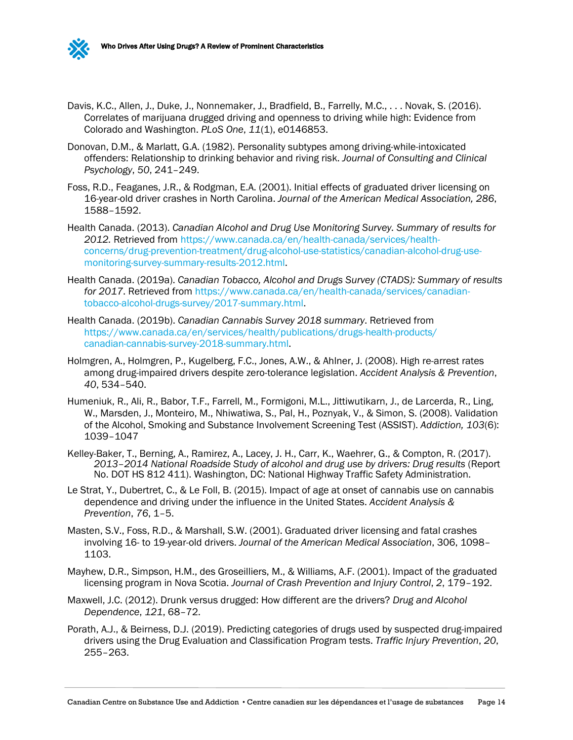

- Donovan, D.M., & Marlatt, G.A. (1982). Personality subtypes among driving-while-intoxicated offenders: Relationship to drinking behavior and riving risk. *Journal of Consulting and Clinical Psychology*, *50*, 241–249.
- Foss, R.D., Feaganes, J.R., & Rodgman, E.A. (2001). Initial effects of graduated driver licensing on 16-year-old driver crashes in North Carolina. *Journal of the American Medical Association, 286*, 1588–1592.
- Health Canada. (2013). *Canadian Alcohol and Drug Use Monitoring Survey. Summary of results for 2012.* Retrieved from [https://www.canada.ca/en/health-canada/services/health](https://www.canada.ca/en/health-canada/services/health-concerns/drug-prevention-treatment/drug-alcohol-use-statistics/canadian-alcohol-drug-use-monitoring-survey-summary-results-2012.html)[concerns/drug-prevention-treatment/drug-alcohol-use-statistics/canadian-alcohol-drug-use](https://www.canada.ca/en/health-canada/services/health-concerns/drug-prevention-treatment/drug-alcohol-use-statistics/canadian-alcohol-drug-use-monitoring-survey-summary-results-2012.html)[monitoring-survey-summary-results-2012.html.](https://www.canada.ca/en/health-canada/services/health-concerns/drug-prevention-treatment/drug-alcohol-use-statistics/canadian-alcohol-drug-use-monitoring-survey-summary-results-2012.html)
- Health Canada. (2019a). *Canadian Tobacco, Alcohol and Drugs Survey (CTADS): Summary of results for 2017*. Retrieved from [https://www.canada.ca/en/health-canada/services/canadian](https://www.canada.ca/en/health-canada/services/canadian-tobacco-alcohol-drugs-survey/2017-summary.html#n5)[tobacco-alcohol-drugs-survey/2017-summary.h](https://www.canada.ca/en/health-canada/services/canadian-tobacco-alcohol-drugs-survey/2017-summary.html)tml.
- Health Canada. (2019b). *Canadian Cannabis Survey 2018 summary*. Retrieved from [https://www.canada.ca/en/services/health/publications/drugs-health-products/](https://www.canada.ca/en/services/health/publications/drugs-health-products/canadian-cannabis-survey-2018-summary.html) [canadian-cannabis-survey-2018-summ](https://www.canada.ca/en/services/health/publications/drugs-health-products/canadian-cannabis-survey-2018-summary.html)ary.html.
- Holmgren, A., Holmgren, P., Kugelberg, F.C., Jones, A.W., & Ahlner, J. (2008). High re-arrest rates among drug-impaired drivers despite zero-tolerance legislation. *Accident Analysis & Prevention*, *40*, 534–540.
- Humeniuk, R., Ali, R., Babor, T.F., Farrell, M., Formigoni, M.L., Jittiwutikarn, J., de Larcerda, R., Ling, W., Marsden, J., Monteiro, M., Nhiwatiwa, S., Pal, H., Poznyak, V., & Simon, S. (2008). Validation of the Alcohol, Smoking and Substance Involvement Screening Test (ASSIST). *Addiction, 103*(6): 1039–1047
- Kelley-Baker, T., Berning, A., Ramirez, A., Lacey, J. H., Carr, K., Waehrer, G., & Compton, R. (2017). *2013–2014 National Roadside Study of alcohol and drug use by drivers: Drug results* (Report No. DOT HS 812 411). Washington, DC: National Highway Traffic Safety Administration.
- Le Strat, Y., Dubertret, C., & Le Foll, B. (2015). Impact of age at onset of cannabis use on cannabis dependence and driving under the influence in the United States. *Accident Analysis & Prevention*, *76*, 1–5.
- Masten, S.V., Foss, R.D., & Marshall, S.W. (2001). Graduated driver licensing and fatal crashes involving 16- to 19-year-old drivers. *Journal of the American Medical Association*, 306, 1098– 1103.
- Mayhew, D.R., Simpson, H.M., des Groseilliers, M., & Williams, A.F. (2001). Impact of the graduated licensing program in Nova Scotia. *Journal of Crash Prevention and Injury Control*, *2*, 179–192.
- Maxwell, J.C. (2012). Drunk versus drugged: How different are the drivers? *Drug and Alcohol Dependence*, *121*, 68–72.
- Porath, A.J., & Beirness, D.J. (2019). Predicting categories of drugs used by suspected drug-impaired drivers using the Drug Evaluation and Classification Program tests. *Traffic Injury Prevention*, *20*, 255–263.